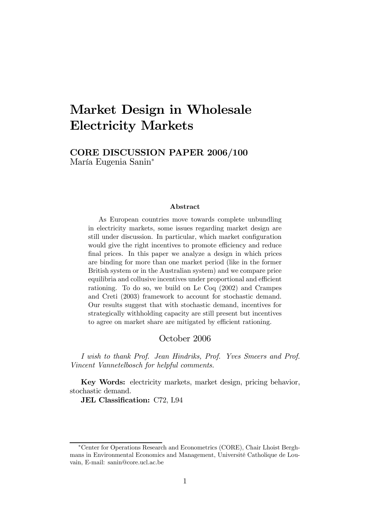# Market Design in Wholesale Electricity Markets

# CORE DISCUSSION PAPER 2006/100 María Eugenia Sanin<sup>∗</sup>

#### Abstract

As European countries move towards complete unbundling in electricity markets, some issues regarding market design are still under discussion. In particular, which market configuration would give the right incentives to promote efficiency and reduce final prices. In this paper we analyze a design in which prices are binding for more than one market period (like in the former British system or in the Australian system) and we compare price equilibria and collusive incentives under proportional and efficient rationing. To do so, we build on Le Coq (2002) and Crampes and Creti (2003) framework to account for stochastic demand. Our results suggest that with stochastic demand, incentives for strategically withholding capacity are still present but incentives to agree on market share are mitigated by efficient rationing.

### October 2006

I wish to thank Prof. Jean Hindriks, Prof. Yves Smeers and Prof. Vincent Vannetelbosch for helpful comments.

Key Words: electricity markets, market design, pricing behavior, stochastic demand.

JEL Classification: C72, L94

<sup>∗</sup>Center for Operations Research and Econometrics (CORE), Chair Lhoist Berghmans in Environmental Economics and Management, Université Catholique de Louvain, E-mail: sanin@core.ucl.ac.be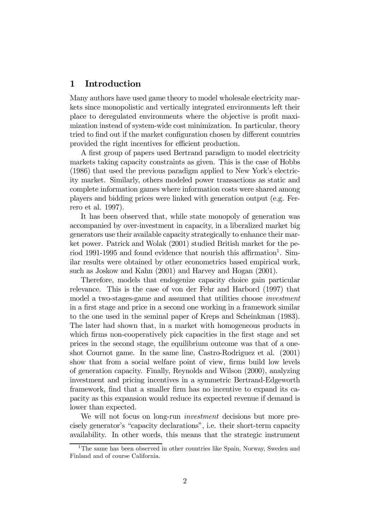# 1 Introduction

Many authors have used game theory to model wholesale electricity markets since monopolistic and vertically integrated environments left their place to deregulated environments where the objective is profit maximization instead of system-wide cost minimization. In particular, theory tried to find out if the market configuration chosen by different countries provided the right incentives for efficient production.

A first group of papers used Bertrand paradigm to model electricity markets taking capacity constraints as given. This is the case of Hobbs (1986) that used the previous paradigm applied to New York's electricity market. Similarly, others modeled power transactions as static and complete information games where information costs were shared among players and bidding prices were linked with generation output (e.g. Ferrero et al. 1997).

It has been observed that, while state monopoly of generation was accompanied by over-investment in capacity, in a liberalized market big generators use their available capacity strategically to enhance their market power. Patrick and Wolak (2001) studied British market for the period 1991-1995 and found evidence that nourish this affirmation<sup>1</sup>. Similar results were obtained by other econometrics based empirical work, such as Joskow and Kahn (2001) and Harvey and Hogan (2001).

Therefore, models that endogenize capacity choice gain particular relevance. This is the case of von der Fehr and Harbord (1997) that model a two-stages-game and assumed that utilities choose *investment* in a first stage and price in a second one working in a framework similar to the one used in the seminal paper of Kreps and Scheinkman (1983). The later had shown that, in a market with homogeneous products in which firms non-cooperatively pick capacities in the first stage and set prices in the second stage, the equilibrium outcome was that of a oneshot Cournot game. In the same line, Castro-Rodriguez et al. (2001) show that from a social welfare point of view, firms build low levels of generation capacity. Finally, Reynolds and Wilson (2000), analyzing investment and pricing incentives in a symmetric Bertrand-Edgeworth framework, find that a smaller firm has no incentive to expand its capacity as this expansion would reduce its expected revenue if demand is lower than expected.

We will not focus on long-run *investment* decisions but more precisely generator's "capacity declarations", i.e. their short-term capacity availability. In other words, this means that the strategic instrument

<sup>&</sup>lt;sup>1</sup>The same has been observed in other countries like Spain, Norway, Sweden and Finland and of course California.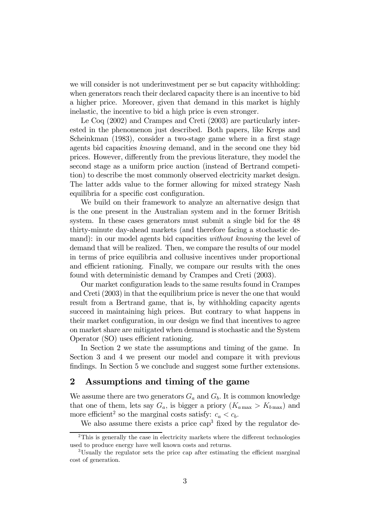we will consider is not underinvestment per se but capacity withholding: when generators reach their declared capacity there is an incentive to bid a higher price. Moreover, given that demand in this market is highly inelastic, the incentive to bid a high price is even stronger.

Le Coq (2002) and Crampes and Creti (2003) are particularly interested in the phenomenon just described. Both papers, like Kreps and Scheinkman (1983), consider a two-stage game where in a first stage agents bid capacities knowing demand, and in the second one they bid prices. However, differently from the previous literature, they model the second stage as a uniform price auction (instead of Bertrand competition) to describe the most commonly observed electricity market design. The latter adds value to the former allowing for mixed strategy Nash equilibria for a specific cost configuration.

We build on their framework to analyze an alternative design that is the one present in the Australian system and in the former British system. In these cases generators must submit a single bid for the 48 thirty-minute day-ahead markets (and therefore facing a stochastic demand): in our model agents bid capacities *without knowing* the level of demand that will be realized. Then, we compare the results of our model in terms of price equilibria and collusive incentives under proportional and efficient rationing. Finally, we compare our results with the ones found with deterministic demand by Crampes and Creti (2003).

Our market configuration leads to the same results found in Crampes and Creti (2003) in that the equilibrium price is never the one that would result from a Bertrand game, that is, by withholding capacity agents succeed in maintaining high prices. But contrary to what happens in their market configuration, in our design we find that incentives to agree on market share are mitigated when demand is stochastic and the System Operator (SO) uses efficient rationing.

In Section 2 we state the assumptions and timing of the game. In Section 3 and 4 we present our model and compare it with previous findings. In Section 5 we conclude and suggest some further extensions.

# 2 Assumptions and timing of the game

We assume there are two generators  $G_a$  and  $G_b$ . It is common knowledge that one of them, lets say  $G_a$ , is bigger a priory  $(K_{a\max} > K_{b\max})$  and more efficient<sup>2</sup> so the marginal costs satisfy:  $c_a < c_b$ .

We also assume there exists a price  $\text{cap}^3$  fixed by the regulator de-

<sup>&</sup>lt;sup>2</sup>This is generally the case in electricity markets where the different technologies used to produce energy have well known costs and returns.

<sup>3</sup>Usually the regulator sets the price cap after estimating the efficient marginal cost of generation.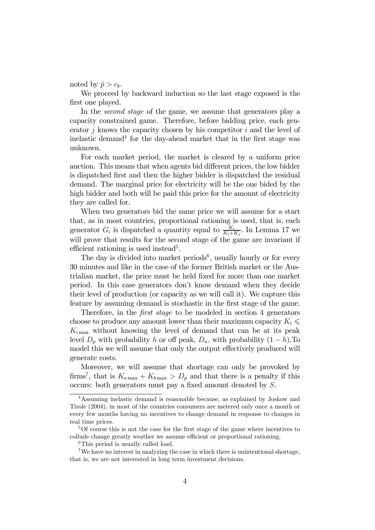noted by  $\hat{p} > c_b$ .

We proceed by backward induction so the last stage exposed is the first one played.

In the second stage of the game, we assume that generators play a capacity constrained game. Therefore, before bidding price, each generator  $i$  knows the capacity chosen by his competitor  $i$  and the level of inelastic demand<sup>4</sup> for the day-ahead market that in the first stage was unknown.

For each market period, the market is cleared by a uniform price auction. This means that when agents bid different prices, the low bidder is dispatched first and then the higher bidder is dispatched the residual demand. The marginal price for electricity will be the one bided by the high bidder and both will be paid this price for the amount of electricity they are called for.

When two generators bid the same price we will assume for a start that, as in most countries, proportional rationing is used, that is, each generator  $G_i$  is dispatched a quantity equal to  $\frac{K_i}{K_i+K_j}$ . In Lemma 17 we will prove that results for the second stage of the game are invariant if efficient rationing is used instead<sup>5</sup>.

The day is divided into market periods<sup>6</sup>, usually hourly or for every 30 minutes and like in the case of the former British market or the Austrialian market, the price must be held fixed for more than one market period. In this case generators don't know demand when they decide their level of production (or capacity as we will call it). We capture this feature by assuming demand is stochastic in the first stage of the game.

Therefore, in the *first stage* to be modeled in section 4 generators choose to produce any amount lower than their maximum capacity  $K_i \leq$  $K_{i_{\text{max}}}$  without knowing the level of demand that can be at its peak level  $D_p$  with probability h or off peak,  $D_n$ , with probability  $(1-h)$ . To model this we will assume that only the output effectively produced will generate costs.

Moreover, we will assume that shortage can only be provoked by firms<sup>7</sup>, that is  $K_{a\,\text{max}} + K_{b\,\text{max}} > D_p$  and that there is a penalty if this occurs: both generators must pay a fixed amount denoted by S.

<sup>4</sup>Assuming inelastic demand is reasonable because, as explained by Joskow and Tirole (2004), in most of the countries consumers are metered only once a month or every few months having no incentives to change demand in response to changes in real time prices.

<sup>5</sup>Of course this is not the case for the first stage of the game where incentives to collude change greatly weather we assume efficient or proportional rationing.

<sup>&</sup>lt;sup>6</sup>This period is usually called load.

<sup>7</sup>We have no interest in analyzing the case in which there is unintentional shortage, that is, we are not interested in long term investment decisions.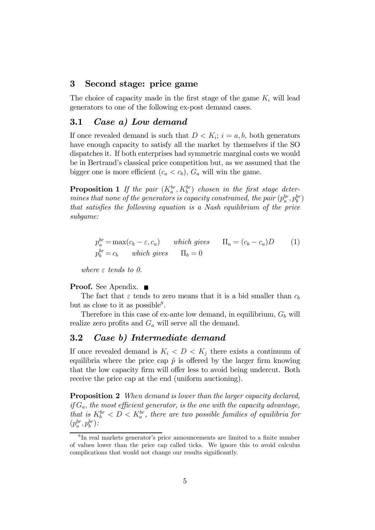# 3 Second stage: price game

The choice of capacity made in the first stage of the game  $K_i$  will lead generators to one of the following ex-post demand cases.

### 3.1 Case a) Low demand

If once revealed demand is such that  $D < K_i$ ;  $i = a, b$ , both generators have enough capacity to satisfy all the market by themselves if the SO dispatches it. If both enterprises had symmetric marginal costs we would be in Bertrand's classical price competition but, as we assumed that the bigger one is more efficient  $(c_a < c_b)$ ,  $G_a$  will win the game.

**Proposition 1** If the pair  $(K_a^{br}, K_b^{br})$  chosen in the first stage determines that none of the generators is capacity constrained, the pair  $(p_a^{br}, p_b^{br})$ that satisfies the following equation is a Nash equilibrium of the price subgame:

$$
p_a^{br} = \max(c_b - \varepsilon, c_a) \quad \text{which gives} \quad \Pi_a = (c_b - c_a)D \quad (1)
$$
  

$$
p_b^{br} = c_b \quad \text{which gives} \quad \Pi_b = 0
$$

where  $\varepsilon$  tends to 0.

### Proof. See Apendix. ■

The fact that  $\varepsilon$  tends to zero means that it is a bid smaller than  $c_b$ but as close to it as possible<sup>8</sup>.

Therefore in this case of ex-ante low demand, in equilibrium,  $G_b$  will realize zero profits and  $G_a$  will serve all the demand.

# 3.2 Case b) Intermediate demand

If once revealed demand is  $K_i < D < K_j$  there exists a continuum of equilibria where the price cap  $\hat{p}$  is offered by the larger firm knowing that the low capacity firm will offer less to avoid being undercut. Both receive the price cap at the end (uniform auctioning).

**Proposition 2** When demand is lower than the larger capacity declared, if  $G_a$ , the most efficient generator, is the one with the capacity advantage, that is  $K_b^{br} < D < K_a^{br}$ , there are two possible families of equilibria for  $(p_a^{br}, p_b^{br})$ :

<sup>8</sup> In real markets generator's price announcements are limited to a finite number of values lower than the price cap called ticks. We ignore this to avoid calculus complications that would not change our results significantly.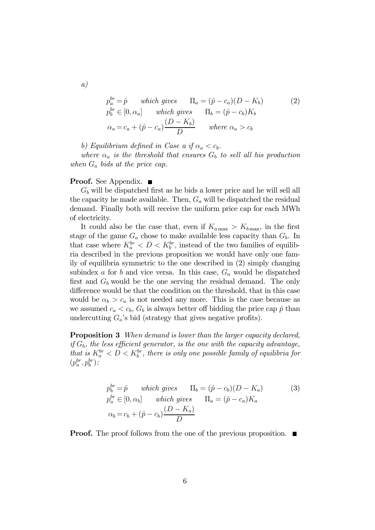$$
p_a^{br} = \hat{p} \quad \text{which gives} \quad \Pi_a = (\hat{p} - c_a)(D - K_b) \tag{2}
$$
\n
$$
p_b^{br} \in [0, \alpha_a] \quad \text{which gives} \quad \Pi_b = (\hat{p} - c_b)K_b
$$
\n
$$
\alpha_a = c_a + (\hat{p} - c_a)\frac{(D - K_b)}{D} \quad \text{where } \alpha_a > c_b
$$

b) Equilibrium defined in Case a if  $\alpha_a < c_b$ .

where  $\alpha_a$  is the threshold that ensures  $G_b$  to sell all his production when  $G_a$  bids at the price cap.

#### **Proof.** See Appendix. ■

 $G_b$  will be dispatched first as he bids a lower price and he will sell all the capacity he made available. Then,  $G_a$  will be dispatched the residual demand. Finally both will receive the uniform price cap for each MWh of electricity.

It could also be the case that, even if  $K_{a\,\text{max}} > K_{b\,\text{max}}$ , in the first stage of the game  $G_a$  chose to make available less capacity than  $G_b$ . In that case where  $K_a^{br} < D < K_b^{br}$ , instead of the two families of equilibria described in the previous proposition we would have only one family of equilibria symmetric to the one described in (2) simply changing subindex a for b and vice versa. In this case,  $G_a$  would be dispatched first and  $G_b$  would be the one serving the residual demand. The only difference would be that the condition on the threshold, that in this case would be  $\alpha_b > c_a$  is not needed any more. This is the case because as we assumed  $c_a < c_b$ ,  $G_b$  is always better off bidding the price cap  $\hat{p}$  than undercutting  $G_a$ 's bid (strategy that gives negative profits).

**Proposition 3** When demand is lower than the larger capacity declared, if  $G_b$ , the less efficient generator, is the one with the capacity advantage, that is  $K_a^{br} < D < K_b^{br}$ , there is only one possible family of equilibria for  $(p_a^{br}, p_b^{br})$ :

$$
p_b^{br} = \hat{p} \t which gives \t\Pi_b = (\hat{p} - c_b)(D - K_a) \t (3)
$$
  
\n
$$
p_a^{br} \in [0, \alpha_b] \t which gives \t\Pi_a = (\hat{p} - c_a)K_a
$$
  
\n
$$
\alpha_b = c_b + (\hat{p} - c_b)\frac{(D - K_a)}{D}
$$

**Proof.** The proof follows from the one of the previous proposition.

a)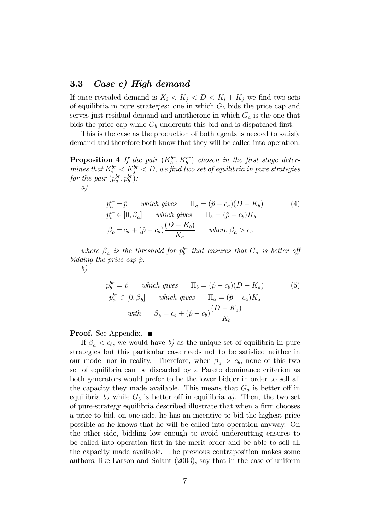### 3.3 Case c) High demand

If once revealed demand is  $K_i < K_j < D < K_i + K_j$  we find two sets of equilibria in pure strategies: one in which  $G_b$  bids the price cap and serves just residual demand and anotherone in which  $G_a$  is the one that bids the price cap while  $G_b$  undercuts this bid and is dispatched first.

This is the case as the production of both agents is needed to satisfy demand and therefore both know that they will be called into operation.

**Proposition 4** If the pair  $(K_a^{br}, K_b^{br})$  chosen in the first stage determines that  $K_i^{br} < K_j^{br} < D$ , we find two set of equilibria in pure strategies for the pair  $(p_a^{br}, p_b^{br})$ : a)

$$
p_a^{br} = \hat{p} \t which gives  $\Pi_a = (\hat{p} - c_a)(D - K_b)$  (4)  
\n
$$
p_b^{br} \in [0, \beta_a] \t which gives  $\Pi_b = (\hat{p} - c_b)K_b$   
\n
$$
\beta_a = c_a + (\hat{p} - c_a) \frac{(D - K_b)}{K_a} \t where  $\beta_a > c_b$
$$
$$
$$

where  $\beta_a$  is the threshold for  $p_b^{br}$  that ensures that  $G_a$  is better off bidding the price cap  $\hat{p}$ .

b)

$$
p_b^{br} = \hat{p} \quad \text{which gives} \quad \Pi_b = (\hat{p} - c_b)(D - K_a) \tag{5}
$$
\n
$$
p_a^{br} \in [0, \beta_b] \quad \text{which gives} \quad \Pi_a = (\hat{p} - c_a)K_a
$$
\n
$$
\text{with} \quad \beta_b = c_b + (\hat{p} - c_b)\frac{(D - K_a)}{K_b}
$$

**Proof.** See Appendix. ■

If  $\beta_a < c_b$ , we would have b) as the unique set of equilibria in pure strategies but this particular case needs not to be satisfied neither in our model nor in reality. Therefore, when  $\beta_a > c_b$ , none of this two set of equilibria can be discarded by a Pareto dominance criterion as both generators would prefer to be the lower bidder in order to sell all the capacity they made available. This means that  $G_a$  is better off in equilibria b) while  $G_b$  is better off in equilibria a). Then, the two set of pure-strategy equilibria described illustrate that when a firm chooses a price to bid, on one side, he has an incentive to bid the highest price possible as he knows that he will be called into operation anyway. On the other side, bidding low enough to avoid undercutting ensures to be called into operation first in the merit order and be able to sell all the capacity made available. The previous contraposition makes some authors, like Larson and Salant (2003), say that in the case of uniform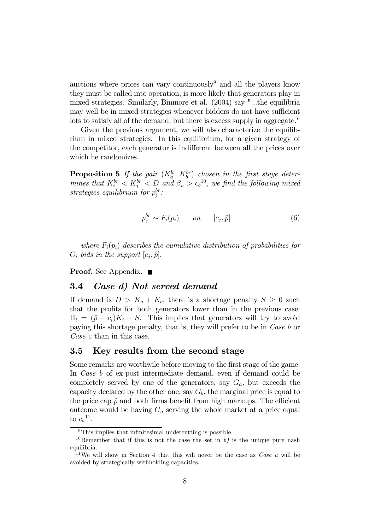auctions where prices can vary continuously and all the players know they must be called into operation, is more likely that generators play in mixed strategies. Similarly, Binmore et al. (2004) say "...the equilibria may well be in mixed strategies whenever bidders do not have sufficient lots to satisfy all of the demand, but there is excess supply in aggregate."

Given the previous argument, we will also characterize the equilibrium in mixed strategies. In this equilibrium, for a given strategy of the competitor, each generator is indifferent between all the prices over which he randomizes.

**Proposition 5** If the pair  $(K_a^{br}, K_b^{br})$  chosen in the first stage determines that  $K_i^{br} < K_j^{br} < D$  and  $\beta_a > c_b^{10}$ , we find the following mixed strategies equilibrium for  $p_j^{br}$ :

$$
p_j^{br} \sim F_i(p_i) \qquad on \qquad [c_j, \hat{p}] \tag{6}
$$

where  $F_i(p_i)$  describes the cumulative distribution of probabilities for  $G_i$  bids in the support  $[c_i, \hat{p}]$ .

**Proof.** See Appendix. ■

### 3.4 Case d) Not served demand

If demand is  $D > K_a + K_b$ , there is a shortage penalty  $S \geq 0$  such that the profits for both generators lower than in the previous case:  $\Pi_i = (\hat{p} - c_i)K_i - S$ . This implies that generators will try to avoid paying this shortage penalty, that is, they will prefer to be in Case b or Case c than in this case.

# 3.5 Key results from the second stage

Some remarks are worthwile before moving to the first stage of the game. In *Case b* of ex-post intermediate demand, even if demand could be completely served by one of the generators, say  $G_a$ , but exceeds the capacity declared by the other one, say  $G_b$ , the marginal price is equal to the price cap  $\hat{p}$  and both firms benefit from high markups. The efficient outcome would be having  $G_a$  serving the whole market at a price equal to  $c_a^{11}$ .

<sup>&</sup>lt;sup>9</sup>This implies that infinitesimal undercutting is possible.

<sup>&</sup>lt;sup>10</sup>Remember that if this is not the case the set in b) is the unique pure nash equilibria.

<sup>&</sup>lt;sup>11</sup>We will show in Section 4 that this will never be the case as *Case a* will be avoided by strategically withholding capacities.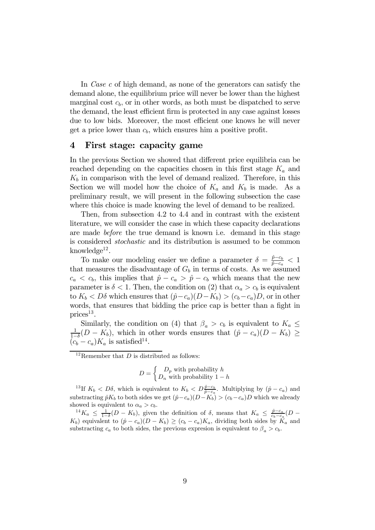In *Case c* of high demand, as none of the generators can satisfy the demand alone, the equilibrium price will never be lower than the highest marginal cost  $c_b$ , or in other words, as both must be dispatched to serve the demand, the least efficient firm is protected in any case against losses due to low bids. Moreover, the most efficient one knows he will never get a price lower than  $c<sub>b</sub>$ , which ensures him a positive profit.

### 4 First stage: capacity game

In the previous Section we showed that different price equilibria can be reached depending on the capacities chosen in this first stage  $K_a$  and  $K_b$  in comparison with the level of demand realized. Therefore, in this Section we will model how the choice of  $K_a$  and  $K_b$  is made. As a preliminary result, we will present in the following subsection the case where this choice is made knowing the level of demand to be realized.

Then, from subsection 4.2 to 4.4 and in contrast with the existent literature, we will consider the case in which these capacity declarations are made before the true demand is known i.e. demand in this stage is considered stochastic and its distribution is assumed to be common knowledge<sup>12</sup>.

To make our modeling easier we define a parameter  $\delta = \frac{\hat{p} - c_b}{\hat{p} - c_a} < 1$ that measures the disadvantage of  $G_b$  in terms of costs. As we assumed  $c_a < c_b$ , this implies that  $\hat{p} - c_a > \hat{p} - c_b$  which means that the new parameter is  $\delta < 1$ . Then, the condition on (2) that  $\alpha_a > c_b$  is equivalent to  $K_b < D\delta$  which ensures that  $(\hat{p}-c_a)(D-K_b) > (c_b-c_a)D$ , or in other words, that ensures that bidding the price cap is better than a fight in  $\text{prices}^{13}$ .

Similarly, the condition on (4) that  $\beta_a > c_b$  is equivalent to  $K_a \leq \frac{1}{1-\delta}(D - K_b)$ , which in other words ensures that  $(\hat{p} - c_a)(D - K_b) \geq$  $(c_b - c_a)K_a$  is satisfied<sup>14</sup>.

$$
D = \begin{cases} D_p \text{ with probability } h \\ D_n \text{ with probability } 1 - h \end{cases}
$$

<sup>13</sup>If  $K_b < D\delta$ , which is equivalent to  $K_b < D\frac{\hat{p}-c_b}{\hat{p}-c_a}$ . Multiplying by  $(\hat{p}-c_a)$  and substracting  $\hat{p}K_b$  to both sides we get  $(\hat{p}-c_a)(D-K_b) > (c_b-c_a)D$  which we already showed is equivalent to  $\alpha_a > c_b$ .

<sup>14</sup>K<sub>a</sub>  $\leq \frac{1}{1-\delta}(D-K_b)$ , given the definition of  $\delta$ , means that  $K_a \leq \frac{\hat{p}-c_a}{c_b-c_a}(D-\delta_a)$  $K_b$ ) equivalent to  $(\hat{p} - c_a)(D - K_b) \ge (c_b - c_a)K_a$ , dividing both sides by  $\tilde{K}_a$  and substracting  $c_a$  to both sides, the previous expresion is equivalent to  $\beta_a > c_b$ .

<sup>&</sup>lt;sup>12</sup>Remember that  $D$  is distributed as follows: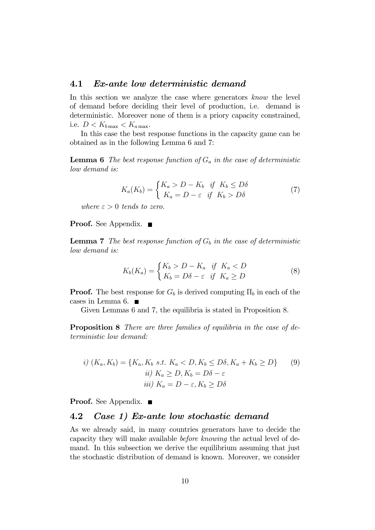### 4.1 Ex-ante low deterministic demand

In this section we analyze the case where generators know the level of demand before deciding their level of production, i.e. demand is deterministic. Moreover none of them is a priory capacity constrained, i.e.  $D < K_{b\,\text{max}} < K_{a\,\text{max}}$ .

In this case the best response functions in the capacity game can be obtained as in the following Lemma 6 and 7:

**Lemma 6** The best response function of  $G_a$  in the case of deterministic low demand is:

$$
K_a(K_b) = \begin{cases} K_a > D - K_b & \text{if } K_b \le D\delta \\ K_a = D - \varepsilon & \text{if } K_b > D\delta \end{cases}
$$
 (7)

where  $\varepsilon > 0$  tends to zero.

**Proof.** See Appendix. ■

**Lemma 7** The best response function of  $G_b$  in the case of deterministic low demand is:

$$
K_b(K_a) = \begin{cases} K_b > D - K_a & \text{if } K_a < D \\ K_b = D\delta - \varepsilon & \text{if } K_a \ge D \end{cases} \tag{8}
$$

**Proof.** The best response for  $G_b$  is derived computing  $\Pi_b$  in each of the cases in Lemma 6.

Given Lemmas 6 and 7, the equilibria is stated in Proposition 8.

Proposition 8 There are three families of equilibria in the case of deterministic low demand:

$$
i) (K_a, K_b) = \{K_a, K_b \text{ s.t. } K_a < D, K_b \leq D\delta, K_a + K_b \geq D\} \qquad (9)
$$
\n
$$
ii) K_a \geq D, K_b = D\delta - \varepsilon
$$
\n
$$
iii) K_a = D - \varepsilon, K_b \geq D\delta
$$

**Proof.** See Appendix. ■

### 4.2 Case 1) Ex-ante low stochastic demand

As we already said, in many countries generators have to decide the capacity they will make available before knowing the actual level of demand. In this subsection we derive the equilibrium assuming that just the stochastic distribution of demand is known. Moreover, we consider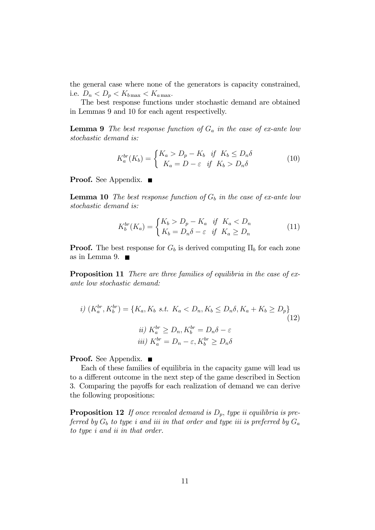the general case where none of the generators is capacity constrained, i.e.  $D_n < D_p < K_{b\text{max}} < K_{a\text{max}}$ .

The best response functions under stochastic demand are obtained in Lemmas 9 and 10 for each agent respectivelly.

**Lemma 9** The best response function of  $G_a$  in the case of ex-ante low stochastic demand is:

$$
K_a^{br}(K_b) = \begin{cases} K_a > D_p - K_b & \text{if } K_b \le D_n \delta \\ K_a = D - \varepsilon & \text{if } K_b > D_n \delta \end{cases}
$$
 (10)

**Proof.** See Appendix. ■

**Lemma 10** The best response function of  $G_b$  in the case of ex-ante low stochastic demand is:

$$
K_b^{br}(K_a) = \begin{cases} K_b > D_p - K_a & \text{if } K_a < D_n \\ K_b = D_n \delta - \varepsilon & \text{if } K_a \ge D_n \end{cases}
$$
 (11)

**Proof.** The best response for  $G_b$  is derived computing  $\Pi_b$  for each zone as in Lemma 9.  $\blacksquare$ 

Proposition 11 There are three families of equilibria in the case of exante low stochastic demand:

$$
i) \ (K_a^{br}, K_b^{br}) = \{K_a, K_b \ s.t. \ K_a < D_n, K_b \le D_n \delta, K_a + K_b \ge D_p\}
$$
\n
$$
ii) \ K_a^{br} \ge D_n, K_b^{br} = D_n \delta - \varepsilon
$$
\n
$$
iii) \ K_a^{br} = D_n - \varepsilon, K_b^{br} \ge D_n \delta
$$
\n
$$
(12)
$$

**Proof.** See Appendix. ■

Each of these families of equilibria in the capacity game will lead us to a different outcome in the next step of the game described in Section 3. Comparing the payoffs for each realization of demand we can derive the following propositions:

**Proposition 12** If once revealed demand is  $D_p$ , type ii equilibria is preferred by  $G_b$  to type i and iii in that order and type iii is preferred by  $G_a$ to type i and ii in that order.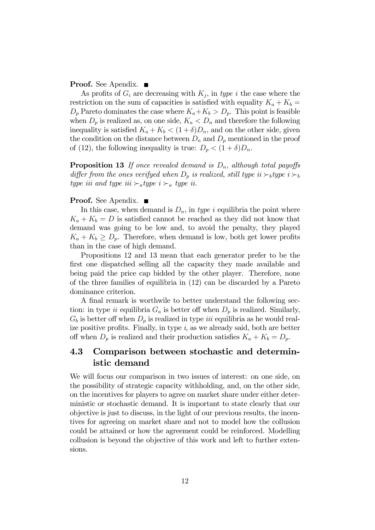**Proof.** See Apendix. ■

As profits of  $G_i$  are decreasing with  $K_i$ , in type i the case where the restriction on the sum of capacities is satisfied with equality  $K_a + K_b =$  $D_p$  Pareto dominates the case where  $K_a+K_b > D_p$ . This point is feasible when  $D_p$  is realized as, on one side,  $K_a < D_n$  and therefore the following inequality is satisfied  $K_a + K_b < (1 + \delta)D_n$ , and on the other side, given the condition on the distance between  $D_n$  and  $D_p$  mentioned in the proof of (12), the following inequality is true:  $D_p < (1 + \delta)D_n$ .

**Proposition 13** If once revealed demand is  $D_n$ , although total payoffs differ from the ones verifyed when  $D_p$  is realized, still type ii  $\succ_b$ type i  $\succ_b$ type iii and type iii  $\succ_{a}$  type ii.

### **Proof.** See Apendix. ■

In this case, when demand is  $D_n$ , in type i equilibria the point where  $K_a + K_b = D$  is satisfied cannot be reached as they did not know that demand was going to be low and, to avoid the penalty, they played  $K_a + K_b \geq D_p$ . Therefore, when demand is low, both get lower profits than in the case of high demand.

Propositions 12 and 13 mean that each generator prefer to be the first one dispatched selling all the capacity they made available and being paid the price cap bidded by the other player. Therefore, none of the three families of equilibria in (12) can be discarded by a Pareto dominance criterion.

A final remark is worthwile to better understand the following section: in type ii equilibria  $G_a$  is better off when  $D_p$  is realized. Similarly,  $G_b$  is better off when  $D_p$  is realized in type *iii* equilibria as he would realize positive profits. Finally, in type  $i$ , as we already said, both are better off when  $D_p$  is realized and their production satisfies  $K_a + K_b = D_p$ .

# 4.3 Comparison between stochastic and deterministic demand

We will focus our comparison in two issues of interest: on one side, on the possibility of strategic capacity withholding, and, on the other side, on the incentives for players to agree on market share under either deterministic or stochastic demand. It is important to state clearly that our objective is just to discuss, in the light of our previous results, the incentives for agreeing on market share and not to model how the collusion could be attained or how the agreement could be reinforced. Modelling collusion is beyond the objective of this work and left to further extensions.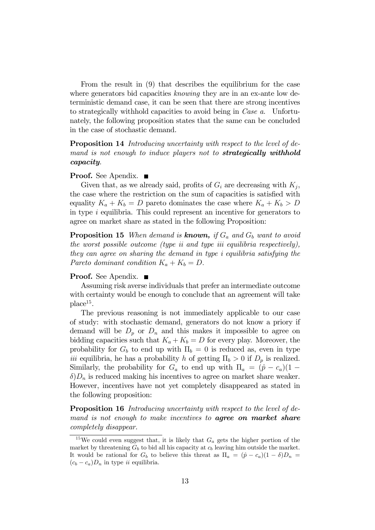From the result in (9) that describes the equilibrium for the case where generators bid capacities knowing they are in an ex-ante low deterministic demand case, it can be seen that there are strong incentives to strategically withhold capacities to avoid being in Case a. Unfortunately, the following proposition states that the same can be concluded in the case of stochastic demand.

**Proposition 14** Introducing uncertainty with respect to the level of demand is not enough to induce players not to **strategically withhold** capacity.

### **Proof.** See Apendix. ■

Given that, as we already said, profits of  $G_i$  are decreasing with  $K_i$ , the case where the restriction on the sum of capacities is satisfied with equality  $K_a + K_b = D$  pareto dominates the case where  $K_a + K_b > D$ in type  $i$  equilibria. This could represent an incentive for generators to agree on market share as stated in the following Proposition:

**Proposition 15** When demand is **known**, if  $G_a$  and  $G_b$  want to avoid the worst possible outcome (type ii and type iii equilibria respectively), they can agree on sharing the demand in type i equilibria satisfying the Pareto dominant condition  $K_a + K_b = D$ .

### **Proof.** See Apendix. ■

Assuming risk averse individuals that prefer an intermediate outcome with certainty would be enough to conclude that an agreement will take  $place<sup>15</sup>$ .

The previous reasoning is not immediately applicable to our case of study: with stochastic demand, generators do not know a priory if demand will be  $D_p$  or  $D_n$  and this makes it impossible to agree on bidding capacities such that  $K_a + K_b = D$  for every play. Moreover, the probability for  $G_b$  to end up with  $\Pi_b = 0$  is reduced as, even in type *iii* equilibria, he has a probability h of getting  $\Pi_b > 0$  if  $D_p$  is realized. Similarly, the probability for  $G_a$  to end up with  $\Pi_a = (\hat{p} - c_a)(1 \delta$ ) $D_n$  is reduced making his incentives to agree on market share weaker. However, incentives have not yet completely disappeared as stated in the following proposition:

Proposition 16 Introducing uncertainty with respect to the level of demand is not enough to make incentives to **agree on market share** completely disappear.

<sup>&</sup>lt;sup>15</sup>We could even suggest that, it is likely that  $G_a$  gets the higher portion of the market by threatening  $G_b$  to bid all his capacity at  $c_b$  leaving him outside the market. It would be rational for  $G_b$  to believe this threat as  $\Pi_a = (\hat{p} - c_a)(1 - \delta)D_n =$  $(c_b - c_a)D_n$  in type *ii* equilibria.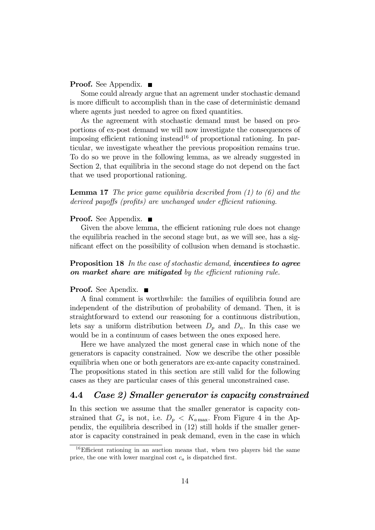### **Proof.** See Appendix. ■

Some could already argue that an agrement under stochastic demand is more difficult to accomplish than in the case of deterministic demand where agents just needed to agree on fixed quantities.

As the agreement with stochastic demand must be based on proportions of ex-post demand we will now investigate the consequences of imposing efficient rationing instead<sup>16</sup> of proportional rationing. In particular, we investigate wheather the previous proposition remains true. To do so we prove in the following lemma, as we already suggested in Section 2, that equilibria in the second stage do not depend on the fact that we used proportional rationing.

### **Lemma 17** The price game equilibria described from  $(1)$  to  $(6)$  and the derived payoffs (profits) are unchanged under efficient rationing.

### **Proof.** See Appendix. ■

Given the above lemma, the efficient rationing rule does not change the equilibria reached in the second stage but, as we will see, has a significant effect on the possibility of collusion when demand is stochastic.

### Proposition 18 In the case of stochastic demand, incentives to agree on market share are mitigated by the efficient rationing rule.

### **Proof.** See Apendix. ■

A final comment is worthwhile: the families of equilibria found are independent of the distribution of probability of demand. Then, it is straightforward to extend our reasoning for a continuous distribution, lets say a uniform distribution between  $D_p$  and  $D_n$ . In this case we would be in a continuum of cases between the ones exposed here.

Here we have analyzed the most general case in which none of the generators is capacity constrained. Now we describe the other possible equilibria when one or both generators are ex-ante capacity constrained. The propositions stated in this section are still valid for the following cases as they are particular cases of this general unconstrained case.

### 4.4 Case 2) Smaller generator is capacity constrained

In this section we assume that the smaller generator is capacity constrained that  $G_a$  is not, i.e.  $D_p < K_{a\text{max}}$ . From Figure 4 in the Appendix, the equilibria described in (12) still holds if the smaller generator is capacity constrained in peak demand, even in the case in which

 $16$ Efficient rationing in an auction means that, when two players bid the same price, the one with lower marginal cost  $c_a$  is dispatched first.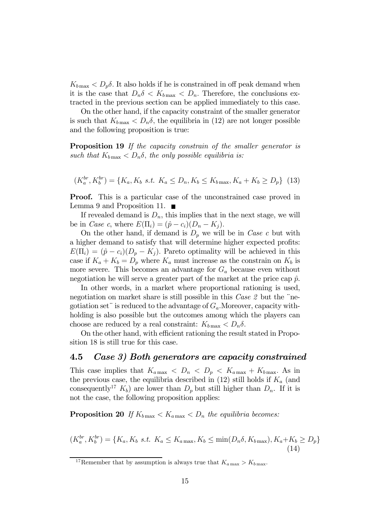$K_{b\,\text{max}} < D_p \delta$ . It also holds if he is constrained in off peak demand when it is the case that  $D_n \delta < K_{b \text{ max}} < D_n$ . Therefore, the conclusions extracted in the previous section can be applied immediately to this case.

On the other hand, if the capacity constraint of the smaller generator is such that  $K_{b\,\text{max}} < D_n \delta$ , the equilibria in (12) are not longer possible and the following proposition is true:

**Proposition 19** If the capacity constrain of the smaller generator is such that  $K_{b\,\text{max}} < D_n\delta$ , the only possible equilibria is:

$$
(K_a^{br}, K_b^{br}) = \{K_a, K_b \text{ s.t. } K_a \le D_n, K_b \le K_{b \max}, K_a + K_b \ge D_p\} \tag{13}
$$

Proof. This is a particular case of the unconstrained case proved in Lemma 9 and Proposition 11.  $\blacksquare$ 

If revealed demand is  $D_n$ , this implies that in the next stage, we will be in *Case c*, where  $E(\Pi_i) = (\hat{p} - c_i)(D_n - K_i)$ .

On the other hand, if demand is  $D_p$  we will be in Case c but with a higher demand to satisfy that will determine higher expected profits:  $E(\Pi_i) = (\hat{p} - c_i)(D_p - K_i)$ . Pareto optimality will be achieved in this case if  $K_a + K_b = D_p$  where  $K_a$  must increase as the constrain on  $K_b$  is more severe. This becomes an advantage for  $G_a$  because even without negotiation he will serve a greater part of the market at the price cap  $\hat{p}$ .

In other words, in a market where proportional rationing is used, negotiation on market share is still possible in this *Case 2* but the "negotiation set" is reduced to the advantage of  $G_a$ . Moreover, capacity withholding is also possible but the outcomes among which the players can choose are reduced by a real constraint:  $K_{b \text{ max}} < D_n \delta$ .

On the other hand, with efficient rationing the result stated in Proposition 18 is still true for this case.

# 4.5 Case 3) Both generators are capacity constrained

This case implies that  $K_{a\,\text{max}} < D_n < D_p < K_{a\,\text{max}} + K_{b\,\text{max}}$ . As in the previous case, the equilibria described in  $(12)$  still holds if  $K_a$  (and consequently<sup>17</sup>  $K_b$ ) are lower than  $D_p$  but still higher than  $D_n$ . If it is not the case, the following proposition applies:

**Proposition 20** If  $K_{b\text{max}} < K_{a\text{max}} < D_n$  the equilibria becomes:

$$
(K_a^{br}, K_b^{br}) = \{K_a, K_b \text{ s.t. } K_a \le K_{a\max}, K_b \le \min(D_n \delta, K_{b\max}), K_a + K_b \ge D_p\}
$$
\n(14)

<sup>&</sup>lt;sup>17</sup>Remember that by assumption is always true that  $K_{a \max} > K_{b \max}$ .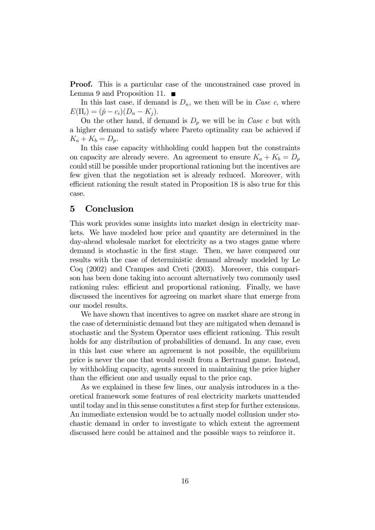**Proof.** This is a particular case of the unconstrained case proved in Lemma 9 and Proposition 11.  $\blacksquare$ 

In this last case, if demand is  $D_n$ , we then will be in *Case c*, where  $E(\Pi_i) = (\hat{p} - c_i)(D_n - K_i).$ 

On the other hand, if demand is  $D_p$  we will be in Case c but with a higher demand to satisfy where Pareto optimality can be achieved if  $K_a + K_b = D_p.$ 

In this case capacity withholding could happen but the constraints on capacity are already severe. An agreement to ensure  $K_a + K_b = D_p$ could still be possible under proportional rationing but the incentives are few given that the negotiation set is already reduced. Moreover, with efficient rationing the result stated in Proposition 18 is also true for this case.

# 5 Conclusion

This work provides some insights into market design in electricity markets. We have modeled how price and quantity are determined in the day-ahead wholesale market for electricity as a two stages game where demand is stochastic in the first stage. Then, we have compared our results with the case of deterministic demand already modeled by Le Coq (2002) and Crampes and Creti (2003). Moreover, this comparison has been done taking into account alternatively two commonly used rationing rules: efficient and proportional rationing. Finally, we have discussed the incentives for agreeing on market share that emerge from our model results.

We have shown that incentives to agree on market share are strong in the case of deterministic demand but they are mitigated when demand is stochastic and the System Operator uses efficient rationing. This result holds for any distribution of probabilities of demand. In any case, even in this last case where an agreement is not possible, the equilibrium price is never the one that would result from a Bertrand game. Instead, by withholding capacity, agents succeed in maintaining the price higher than the efficient one and usually equal to the price cap.

As we explained in these few lines, our analysis introduces in a theoretical framework some features of real electricity markets unattended until today and in this sense constitutes a first step for further extensions. An immediate extension would be to actually model collusion under stochastic demand in order to investigate to which extent the agreement discussed here could be attained and the possible ways to reinforce it.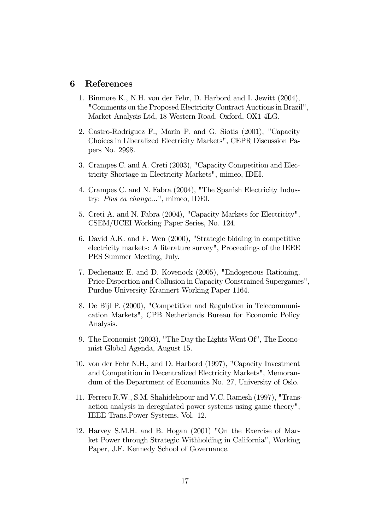### 6 References

- 1. Binmore K., N.H. von der Fehr, D. Harbord and I. Jewitt (2004), "Comments on the Proposed Electricity Contract Auctions in Brazil", Market Analysis Ltd, 18 Western Road, Oxford, OX1 4LG.
- 2. Castro-Rodriguez F., Marín P. and G. Siotis (2001), "Capacity Choices in Liberalized Electricity Markets", CEPR Discussion Papers No. 2998.
- 3. Crampes C. and A. Creti (2003), "Capacity Competition and Electricity Shortage in Electricity Markets", mimeo, IDEI.
- 4. Crampes C. and N. Fabra (2004), "The Spanish Electricity Industry: Plus ca change...", mimeo, IDEI.
- 5. Creti A. and N. Fabra (2004), "Capacity Markets for Electricity", CSEM/UCEI Working Paper Series, No. 124.
- 6. David A.K. and F. Wen (2000), "Strategic bidding in competitive electricity markets: A literature survey", Proceedings of the IEEE PES Summer Meeting, July.
- 7. Dechenaux E. and D. Kovenock (2005), "Endogenous Rationing, Price Dispertion and Collusion in Capacity Constrained Supergames", Purdue University Krannert Working Paper 1164.
- 8. De Bijl P. (2000), "Competition and Regulation in Telecommunication Markets", CPB Netherlands Bureau for Economic Policy Analysis.
- 9. The Economist (2003), "The Day the Lights Went Of", The Economist Global Agenda, August 15.
- 10. von der Fehr N.H., and D. Harbord (1997), "Capacity Investment and Competition in Decentralized Electricity Markets", Memorandum of the Department of Economics No. 27, University of Oslo.
- 11. Ferrero R.W., S.M. Shahidehpour and V.C. Ramesh (1997), "Transaction analysis in deregulated power systems using game theory", IEEE Trans.Power Systems, Vol. 12.
- 12. Harvey S.M.H. and B. Hogan (2001) "On the Exercise of Market Power through Strategic Withholding in California", Working Paper, J.F. Kennedy School of Governance.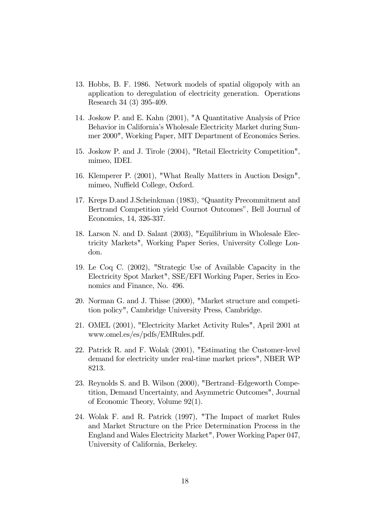- 13. Hobbs, B. F. 1986. Network models of spatial oligopoly with an application to deregulation of electricity generation. Operations Research 34 (3) 395-409.
- 14. Joskow P. and E. Kahn (2001), "A Quantitative Analysis of Price Behavior in California's Wholesale Electricity Market during Summer 2000", Working Paper, MIT Department of Economics Series.
- 15. Joskow P. and J. Tirole (2004), "Retail Electricity Competition", mimeo, IDEI.
- 16. Klemperer P. (2001), "What Really Matters in Auction Design", mimeo, Nuffield College, Oxford.
- 17. Kreps D.and J.Scheinkman (1983), "Quantity Precommitment and Bertrand Competition yield Cournot Outcomes", Bell Journal of Economics, 14, 326-337.
- 18. Larson N. and D. Salant (2003), "Equilibrium in Wholesale Electricity Markets", Working Paper Series, University College London.
- 19. Le Coq C. (2002), "Strategic Use of Available Capacity in the Electricity Spot Market", SSE/EFI Working Paper, Series in Economics and Finance, No. 496.
- 20. Norman G. and J. Thisse (2000), "Market structure and competition policy", Cambridge University Press, Cambridge.
- 21. OMEL (2001), "Electricity Market Activity Rules", April 2001 at www.omel.es/es/pdfs/EMRules.pdf.
- 22. Patrick R. and F. Wolak (2001), "Estimating the Customer-level demand for electricity under real-time market prices", NBER WP 8213.
- 23. Reynolds S. and B. Wilson (2000), "Bertrand—Edgeworth Competition, Demand Uncertainty, and Asymmetric Outcomes", Journal of Economic Theory, Volume 92(1).
- 24. Wolak F. and R. Patrick (1997), "The Impact of market Rules and Market Structure on the Price Determination Process in the England and Wales Electricity Market", Power Working Paper 047, University of California, Berkeley.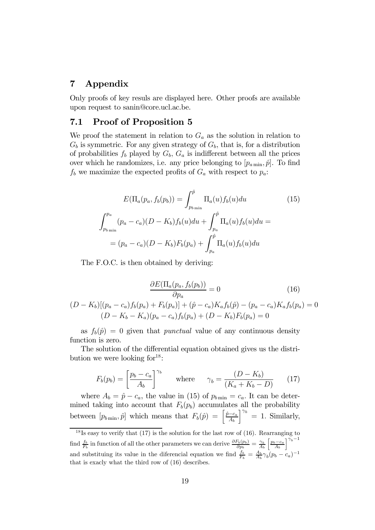# 7 Appendix

Only proofs of key resuls are displayed here. Other proofs are available upon request to sanin@core.ucl.ac.be.

# 7.1 Proof of Proposition 5

We proof the statement in relation to  $G_a$  as the solution in relation to  $G_b$  is symmetric. For any given strategy of  $G_b$ , that is, for a distribution of probabilities  $f_b$  played by  $G_b$ ,  $G_a$  is indifferent between all the prices over which he randomizes, i.e. any price belonging to  $[p_{a\text{min}}, \hat{p}]$ . To find  $f_b$  we maximize the expected profits of  $G_a$  with respect to  $p_a$ :

$$
E(\Pi_a(p_a, f_b(p_b)) = \int_{p_{b \min}}^{\hat{p}} \Pi_a(u) f_b(u) du \qquad (15)
$$

$$
\int_{p_{b \min}}^{p_a} (p_a - c_a)(D - K_b) f_b(u) du + \int_{p_a}^{\hat{p}} \Pi_a(u) f_b(u) du =
$$

$$
= (p_a - c_a)(D - K_b) F_b(p_a) + \int_{p_a}^{\hat{p}} \Pi_a(u) f_b(u) du
$$

The F.O.C. is then obtained by deriving:

$$
\frac{\partial E(\Pi_a(p_a, f_b(p_b))}{\partial p_a} = 0
$$
(16)  

$$
(D - K_b)[(p_a - c_a)f_b(p_a) + F_b(p_a)] + (\hat{p} - c_a)K_a f_b(\hat{p}) - (p_a - c_a)K_a f_b(p_a) = 0
$$
  

$$
(D - K_b - K_a)(p_a - c_a)f_b(p_a) + (D - K_b)F_b(p_a) = 0
$$

as  $f_b(\hat{p})=0$  given that *punctual* value of any continuous density function is zero.

The solution of the differential equation obtained gives us the distribution we were looking  $for^{18}$ :

$$
F_b(p_b) = \left[\frac{p_b - c_a}{A_b}\right]^{\gamma_b} \quad \text{where} \quad \gamma_b = \frac{(D - K_b)}{(K_a + K_b - D)} \tag{17}
$$

where  $A_b = \hat{p} - c_a$ , the value in (15) of  $p_{b \text{min}} = c_a$ . It can be determined taking into account that  $F_b(p_b)$  accumulates all the probability between  $[p_{b \min}, \hat{p}]$  which means that  $F_b(\hat{p}) = \left[\frac{\hat{p} - c_a}{A_b}\right]$  $\Big]_{b}^{\gamma_b} = 1.$  Similarly,

 $18$  Is easy to verify that (17) is the solution for the last row of (16). Rearranging to find  $\frac{f_b}{F_b}$  in function of all the other parameters we can derive  $\frac{\partial F_b(p_b)}{\partial p_b} = \frac{\gamma_b}{A_b}$  $\left\lceil \frac{p_b-c_a}{A_b} \right\rceil$  $7^{v_b-1}$ and substituing its value in the diferencial equation we find  $\frac{f_b}{F_b} = \frac{A_b}{A_b} \gamma_b (p_b - c_a)^{-1}$ that is exacly what the third row of (16) describes.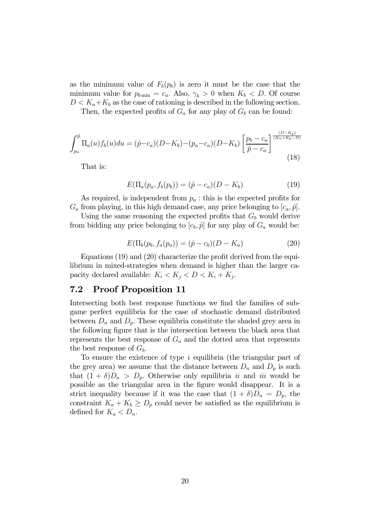as the minimum value of  $F_b(p_b)$  is zero it must be the case that the minimum value for  $p_{b \text{min}} = c_a$ . Also,  $\gamma_b > 0$  when  $K_b < D$ . Of course  $D < K_a + K_b$  as the case of rationing is described in the following section.

Then, the expected profits of  $G_a$  for any play of  $G_b$  can be found:

$$
\int_{p_a}^{\hat{p}} \Pi_a(u) f_b(u) du = (\hat{p} - c_a)(D - K_b) - (p_a - c_a)(D - K_b) \left[ \frac{p_b - c_a}{\hat{p} - c_a} \right]^{\frac{(D - K_b)}{(K_a + K_b - D)}}
$$
\n(18)

That is:

$$
E(\Pi_a(p_a, f_b(p_b)) = (\hat{p} - c_a)(D - K_b)
$$
\n(19)

As required, is independent from  $p_a$ : this is the expected profits for  $G_a$  from playing, in this high demand case, any price belonging to  $[c_a, \hat{p}]$ .

Using the same reasoning the expected profits that  $G_b$  would derive from bidding any price belonging to  $[c_b, \hat{p}]$  for any play of  $G_a$  would be:

$$
E(\Pi_b(p_b, f_a(p_a)) = (\hat{p} - c_b)(D - K_a)
$$
\n(20)

Equations (19) and (20) characterize the profit derived from the equilibrium in mixed-strategies when demand is higher than the larger capacity declared available:  $K_i < K_j < D < K_i + K_j$ .

# 7.2 Proof Proposition 11

Intersecting both best response functions we find the families of subgame perfect equilibria for the case of stochastic demand distributed between  $D_n$  and  $D_p$ . These equilibria constitute the shaded grey area in the following figure that is the intersection between the black area that represents the best response of  $G_a$  and the dotted area that represents the best response of  $G<sub>b</sub>$ .

To ensure the existence of type *i* equilibria (the triangular part of the grey area) we assume that the distance between  $D_n$  and  $D_p$  is such that  $(1 + \delta)D_n > D_p$ . Otherwise only equilibria *ii* and *iii* would be possible as the triangular area in the figure would disappear. It is a strict inequality because if it was the case that  $(1 + \delta)D_n = D_p$ , the constraint  $K_a + K_b \ge D_p$  could never be satisfied as the equilibrium is defined for  $K_a < D_n$ .